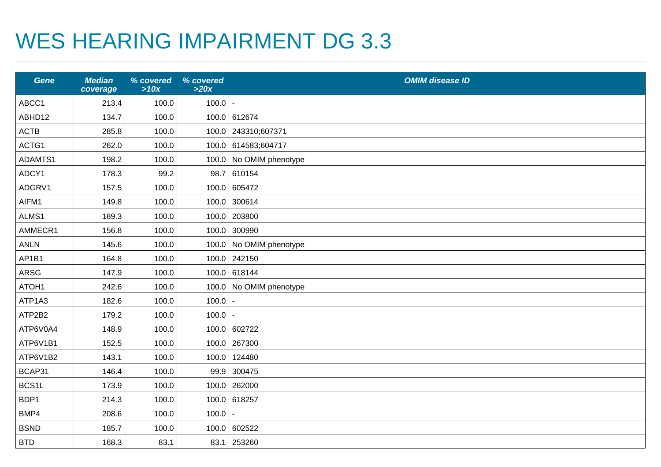## WES HEARING IMPAIRMENT DG 3.3

| <b>Gene</b> | <b>Median</b><br>coverage | % covered<br>>10x | % covered<br>>20x | <b>OMIM disease ID</b>  |
|-------------|---------------------------|-------------------|-------------------|-------------------------|
| ABCC1       | 213.4                     | 100.0             | 100.0             |                         |
| ABHD12      | 134.7                     | 100.0             |                   | 100.0 612674            |
| <b>ACTB</b> | 285.8                     | 100.0             |                   | 100.0 243310;607371     |
| ACTG1       | 262.0                     | 100.0             |                   | 100.0 614583;604717     |
| ADAMTS1     | 198.2                     | 100.0             |                   | 100.0 No OMIM phenotype |
| ADCY1       | 178.3                     | 99.2              |                   | 98.7 610154             |
| ADGRV1      | 157.5                     | 100.0             |                   | 100.0 605472            |
| AIFM1       | 149.8                     | 100.0             |                   | 100.0 300614            |
| ALMS1       | 189.3                     | 100.0             |                   | 100.0 203800            |
| AMMECR1     | 156.8                     | 100.0             |                   | 100.0 300990            |
| <b>ANLN</b> | 145.6                     | 100.0             |                   | 100.0 No OMIM phenotype |
| AP1B1       | 164.8                     | 100.0             |                   | 100.0 242150            |
| <b>ARSG</b> | 147.9                     | 100.0             |                   | 100.0 618144            |
| ATOH1       | 242.6                     | 100.0             |                   | 100.0 No OMIM phenotype |
| ATP1A3      | 182.6                     | 100.0             | 100.0             |                         |
| ATP2B2      | 179.2                     | 100.0             | 100.0             |                         |
| ATP6V0A4    | 148.9                     | 100.0             |                   | 100.0 602722            |
| ATP6V1B1    | 152.5                     | 100.0             |                   | 100.0 267300            |
| ATP6V1B2    | 143.1                     | 100.0             | 100.0             | 124480                  |
| BCAP31      | 146.4                     | 100.0             |                   | 99.9 300475             |
| BCS1L       | 173.9                     | 100.0             |                   | 100.0 262000            |
| BDP1        | 214.3                     | 100.0             |                   | 100.0 618257            |
| BMP4        | 208.6                     | 100.0             | 100.0             |                         |
| <b>BSND</b> | 185.7                     | 100.0             |                   | 100.0 602522            |
| <b>BTD</b>  | 168.3                     | 83.1              |                   | 83.1 253260             |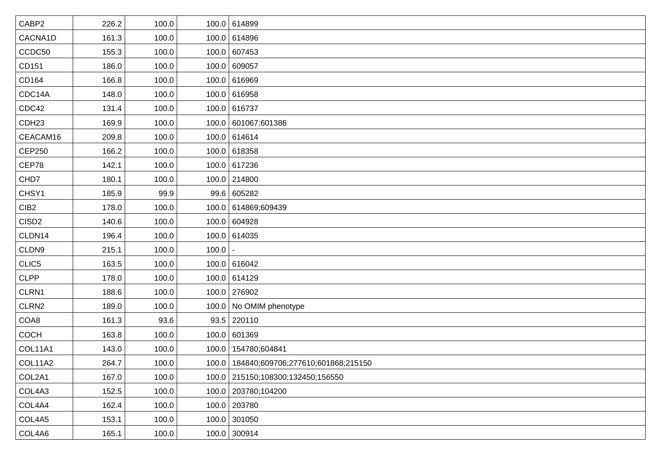| CABP2             | 226.2 | 100.0 |       | 100.0 614899                               |
|-------------------|-------|-------|-------|--------------------------------------------|
| CACNA1D           | 161.3 | 100.0 |       | 100.0 614896                               |
| CCDC50            | 155.3 | 100.0 |       | 100.0 607453                               |
| CD151             | 186.0 | 100.0 |       | 100.0 609057                               |
| CD164             | 166.8 | 100.0 |       | 100.0 616969                               |
| CDC14A            | 148.0 | 100.0 |       | 100.0 616958                               |
| CDC42             | 131.4 | 100.0 |       | 100.0 616737                               |
| CDH <sub>23</sub> | 169.9 | 100.0 |       | 100.0 601067;601386                        |
| CEACAM16          | 209.8 | 100.0 |       | 100.0 614614                               |
| CEP250            | 166.2 | 100.0 |       | 100.0 618358                               |
| CEP78             | 142.1 | 100.0 |       | 100.0 617236                               |
| CHD7              | 180.1 | 100.0 |       | 100.0 214800                               |
| CHSY1             | 185.9 | 99.9  |       | 99.6 605282                                |
| CIB <sub>2</sub>  | 178.0 | 100.0 |       | 100.0 614869,609439                        |
| CISD <sub>2</sub> | 140.6 | 100.0 |       | 100.0 604928                               |
| CLDN14            | 196.4 | 100.0 |       | 100.0 614035                               |
| CLDN9             | 215.1 | 100.0 | 100.0 |                                            |
| CLIC5             | 163.5 | 100.0 |       | 100.0 616042                               |
| <b>CLPP</b>       | 178.0 | 100.0 |       | 100.0 614129                               |
| CLRN1             | 188.6 | 100.0 |       | 100.0 276902                               |
| CLRN2             | 189.0 | 100.0 |       | 100.0 No OMIM phenotype                    |
| COA8              | 161.3 | 93.6  |       | $93.5$ 220110                              |
| COCH              | 163.8 | 100.0 |       | 100.0 601369                               |
| COL11A1           | 143.0 | 100.0 |       | 100.0   154780;604841                      |
| <b>COL11A2</b>    | 264.7 | 100.0 |       | 100.0   184840;609706;277610;601868;215150 |
| COL2A1            | 167.0 | 100.0 |       | 100.0 215150;108300;132450;156550          |
| COL4A3            | 152.5 | 100.0 |       | 100.0 203780;104200                        |
| COL4A4            | 162.4 | 100.0 |       | 100.0 203780                               |
| COL4A5            | 153.1 | 100.0 |       | 100.0 301050                               |
| COL4A6            | 165.1 | 100.0 |       | 100.0 300914                               |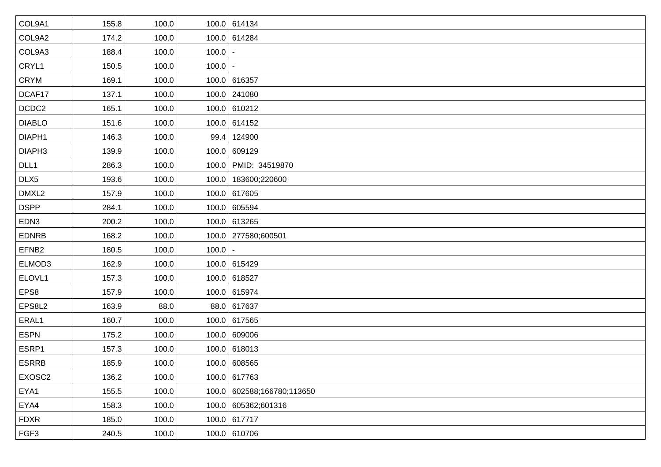| COL9A1            | 155.8 | 100.0 |             | 100.0 614134               |
|-------------------|-------|-------|-------------|----------------------------|
| COL9A2            | 174.2 | 100.0 |             | 100.0 614284               |
| COL9A3            | 188.4 | 100.0 | 100.0       |                            |
| CRYL1             | 150.5 | 100.0 | $100.0$   - |                            |
| <b>CRYM</b>       | 169.1 | 100.0 |             | 100.0 616357               |
| DCAF17            | 137.1 | 100.0 |             | 100.0 241080               |
| DCDC2             | 165.1 | 100.0 |             | 100.0 610212               |
| <b>DIABLO</b>     | 151.6 | 100.0 |             | 100.0 614152               |
| DIAPH1            | 146.3 | 100.0 |             | 99.4 124900                |
| DIAPH3            | 139.9 | 100.0 |             | 100.0 609129               |
| DLL1              | 286.3 | 100.0 |             | 100.0   PMID: 34519870     |
| DLX5              | 193.6 | 100.0 |             | 100.0   183600;220600      |
| DMXL2             | 157.9 | 100.0 |             | 100.0 617605               |
| <b>DSPP</b>       | 284.1 | 100.0 |             | 100.0 605594               |
| EDN3              | 200.2 | 100.0 |             | 100.0 613265               |
| <b>EDNRB</b>      | 168.2 | 100.0 |             | 100.0 277580;600501        |
| EFNB <sub>2</sub> | 180.5 | 100.0 | $100.0$ -   |                            |
| ELMOD3            | 162.9 | 100.0 |             | 100.0 615429               |
| ELOVL1            | 157.3 | 100.0 |             | 100.0 618527               |
| EPS8              | 157.9 | 100.0 |             | 100.0 615974               |
| EPS8L2            | 163.9 | 88.0  |             | 88.0 617637                |
| ERAL1             | 160.7 | 100.0 |             | 100.0 617565               |
| <b>ESPN</b>       | 175.2 | 100.0 |             | 100.0 609006               |
| ESRP1             | 157.3 | 100.0 |             | 100.0 618013               |
| <b>ESRRB</b>      | 185.9 | 100.0 |             | 100.0 608565               |
| EXOSC2            | 136.2 | 100.0 |             | 100.0 617763               |
| EYA1              | 155.5 | 100.0 |             | 100.0 602588;166780;113650 |
| EYA4              | 158.3 | 100.0 |             | 100.0 605362;601316        |
| <b>FDXR</b>       | 185.0 | 100.0 |             | 100.0 617717               |
| FGF3              | 240.5 | 100.0 |             | 100.0 610706               |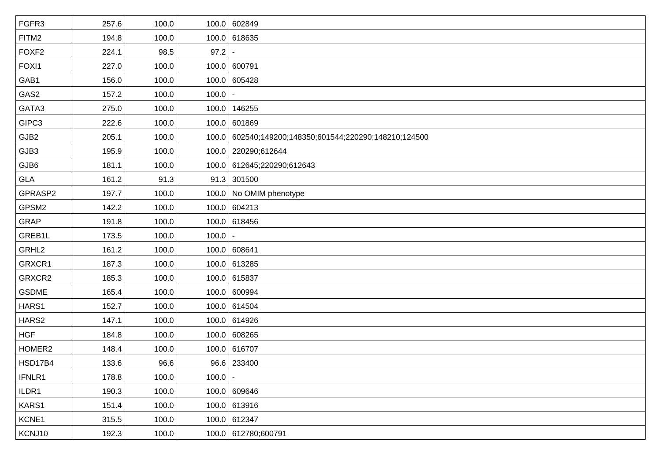| FGFR3             | 257.6 | 100.0 |           | 100.0 602849                                           |
|-------------------|-------|-------|-----------|--------------------------------------------------------|
| FITM2             | 194.8 | 100.0 |           | 100.0 618635                                           |
| FOXF <sub>2</sub> | 224.1 | 98.5  | 97.2      |                                                        |
| FOXI1             | 227.0 | 100.0 |           | 100.0 600791                                           |
| GAB1              | 156.0 | 100.0 |           | 100.0 605428                                           |
| GAS2              | 157.2 | 100.0 | 100.0     |                                                        |
| GATA3             | 275.0 | 100.0 |           | 100.0 146255                                           |
| GIPC3             | 222.6 | 100.0 |           | 100.0 601869                                           |
| GJB2              | 205.1 | 100.0 |           | 100.0 602540;149200;148350;601544;220290;148210;124500 |
| GJB3              | 195.9 | 100.0 |           | 100.0 220290;612644                                    |
| GJB6              | 181.1 | 100.0 |           | 100.0 612645;220290;612643                             |
| <b>GLA</b>        | 161.2 | 91.3  |           | $91.3$ 301500                                          |
| GPRASP2           | 197.7 | 100.0 |           | 100.0   No OMIM phenotype                              |
| GPSM2             | 142.2 | 100.0 |           | 100.0 604213                                           |
| GRAP              | 191.8 | 100.0 |           | 100.0 618456                                           |
| GREB1L            | 173.5 | 100.0 | 100.0     |                                                        |
| GRHL2             | 161.2 | 100.0 |           | 100.0 608641                                           |
| GRXCR1            | 187.3 | 100.0 |           | 100.0 613285                                           |
| GRXCR2            | 185.3 | 100.0 |           | 100.0 615837                                           |
| <b>GSDME</b>      | 165.4 | 100.0 |           | 100.0 600994                                           |
| HARS1             | 152.7 | 100.0 |           | 100.0 614504                                           |
| HARS2             | 147.1 | 100.0 |           | 100.0 614926                                           |
| <b>HGF</b>        | 184.8 | 100.0 |           | 100.0 608265                                           |
| HOMER2            | 148.4 | 100.0 |           | 100.0 616707                                           |
| <b>HSD17B4</b>    | 133.6 | 96.6  |           | 96.6 233400                                            |
| IFNLR1            | 178.8 | 100.0 | $100.0$ - |                                                        |
| ILDR1             | 190.3 | 100.0 |           | 100.0 609646                                           |
| KARS1             | 151.4 | 100.0 |           | 100.0 613916                                           |
| KCNE1             | 315.5 | 100.0 |           | 100.0 612347                                           |
| KCNJ10            | 192.3 | 100.0 |           | 100.0 612780;600791                                    |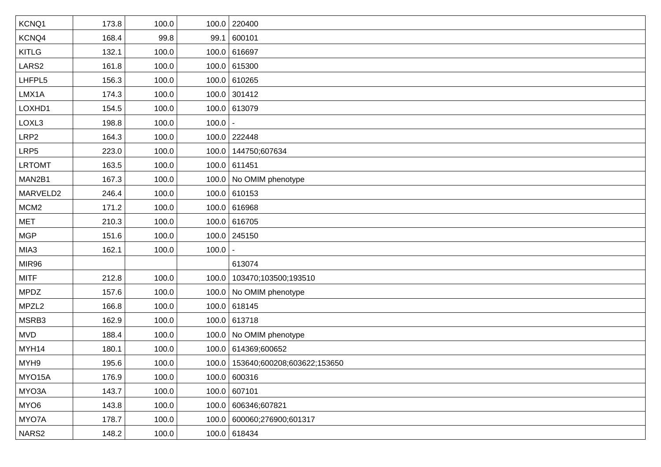| KCNQ1             | 173.8 | 100.0 |       | 100.0 220400                        |
|-------------------|-------|-------|-------|-------------------------------------|
| KCNQ4             | 168.4 | 99.8  |       | 99.1 600101                         |
| <b>KITLG</b>      | 132.1 | 100.0 |       | 100.0 616697                        |
| LARS2             | 161.8 | 100.0 |       | 100.0 615300                        |
| LHFPL5            | 156.3 | 100.0 |       | 100.0 610265                        |
| LMX1A             | 174.3 | 100.0 |       | $100.0$ 301412                      |
| LOXHD1            | 154.5 | 100.0 |       | 100.0 613079                        |
| LOXL3             | 198.8 | 100.0 | 100.0 |                                     |
| LRP2              | 164.3 | 100.0 |       | 100.0 222448                        |
| LRP <sub>5</sub>  | 223.0 | 100.0 |       | 100.0   144750;607634               |
| <b>LRTOMT</b>     | 163.5 | 100.0 |       | 100.0 611451                        |
| MAN2B1            | 167.3 | 100.0 |       | 100.0 No OMIM phenotype             |
| MARVELD2          | 246.4 | 100.0 |       | $100.0$ 610153                      |
| MCM <sub>2</sub>  | 171.2 | 100.0 |       | 100.0 616968                        |
| <b>MET</b>        | 210.3 | 100.0 |       | 100.0 616705                        |
| <b>MGP</b>        | 151.6 | 100.0 |       | 100.0 245150                        |
| MIA3              | 162.1 | 100.0 | 100.0 |                                     |
| MIR96             |       |       |       | 613074                              |
| <b>MITF</b>       | 212.8 | 100.0 |       | 100.0   103470;103500;193510        |
| <b>MPDZ</b>       | 157.6 | 100.0 |       | 100.0 No OMIM phenotype             |
| MPZL <sub>2</sub> | 166.8 | 100.0 |       | 100.0 618145                        |
| MSRB3             | 162.9 | 100.0 |       | 100.0 613718                        |
| <b>MVD</b>        | 188.4 | 100.0 |       | 100.0 No OMIM phenotype             |
| MYH14             | 180.1 | 100.0 |       | 100.0 614369;600652                 |
| MYH9              | 195.6 | 100.0 |       | 100.0   153640;600208;603622;153650 |
| MYO15A            | 176.9 | 100.0 |       | 100.0 600316                        |
| MYO3A             | 143.7 | 100.0 |       | 100.0 607101                        |
| MYO6              | 143.8 | 100.0 |       | 100.0 606346;607821                 |
| MYO7A             | 178.7 | 100.0 |       | 100.0 600060;276900;601317          |
| NARS2             | 148.2 | 100.0 |       | 100.0 618434                        |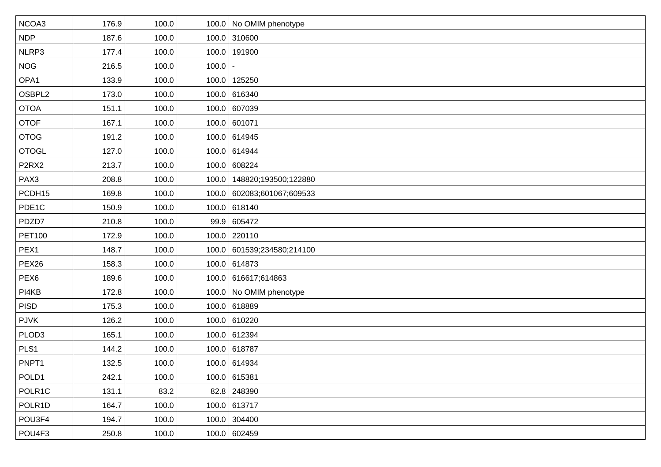| NCOA3             | 176.9 | 100.0 |       | 100.0 No OMIM phenotype      |
|-------------------|-------|-------|-------|------------------------------|
| <b>NDP</b>        | 187.6 | 100.0 |       | 100.0 310600                 |
| NLRP3             | 177.4 | 100.0 |       | 100.0 191900                 |
| <b>NOG</b>        | 216.5 | 100.0 | 100.0 |                              |
| OPA1              | 133.9 | 100.0 |       | 100.0 125250                 |
| OSBPL2            | 173.0 | 100.0 |       | 100.0 616340                 |
| <b>OTOA</b>       | 151.1 | 100.0 |       | 100.0 607039                 |
| <b>OTOF</b>       | 167.1 | 100.0 |       | 100.0 601071                 |
| <b>OTOG</b>       | 191.2 | 100.0 |       | 100.0 614945                 |
| <b>OTOGL</b>      | 127.0 | 100.0 |       | 100.0 614944                 |
| P <sub>2RX2</sub> | 213.7 | 100.0 |       | 100.0 608224                 |
| PAX3              | 208.8 | 100.0 |       | 100.0   148820;193500;122880 |
| PCDH15            | 169.8 | 100.0 |       | 100.0 602083;601067;609533   |
| PDE1C             | 150.9 | 100.0 |       | 100.0 618140                 |
| PDZD7             | 210.8 | 100.0 |       | 99.9 605472                  |
| <b>PET100</b>     | 172.9 | 100.0 |       | 100.0 220110                 |
| PEX1              | 148.7 | 100.0 |       | 100.0 601539;234580;214100   |
| PEX <sub>26</sub> | 158.3 | 100.0 |       | 100.0 614873                 |
| PEX <sub>6</sub>  | 189.6 | 100.0 |       | 100.0 616617;614863          |
| PI4KB             | 172.8 | 100.0 |       | 100.0 No OMIM phenotype      |
| <b>PISD</b>       | 175.3 | 100.0 |       | 100.0 618889                 |
| <b>PJVK</b>       | 126.2 | 100.0 |       | 100.0 610220                 |
| PLOD <sub>3</sub> | 165.1 | 100.0 |       | 100.0 612394                 |
| PLS1              | 144.2 | 100.0 |       | 100.0 618787                 |
| PNPT1             | 132.5 | 100.0 |       | 100.0 614934                 |
| POLD1             | 242.1 | 100.0 |       | 100.0 615381                 |
| POLR1C            | 131.1 | 83.2  |       | 82.8 248390                  |
| POLR1D            | 164.7 | 100.0 |       | 100.0 613717                 |
| POU3F4            | 194.7 | 100.0 |       | 100.0 304400                 |
| POU4F3            | 250.8 | 100.0 |       | 100.0   602459               |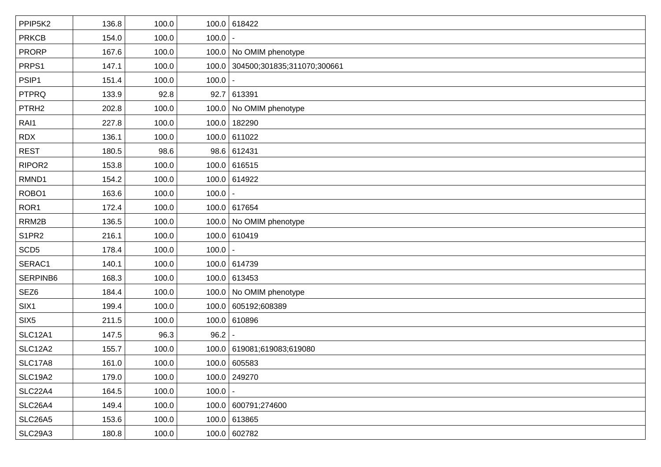| PPIP5K2           | 136.8 | 100.0 |       | 100.0 618422                      |
|-------------------|-------|-------|-------|-----------------------------------|
| <b>PRKCB</b>      | 154.0 | 100.0 | 100.0 |                                   |
| <b>PRORP</b>      | 167.6 | 100.0 |       | 100.0 No OMIM phenotype           |
| PRPS1             | 147.1 | 100.0 |       | 100.0 304500;301835;311070;300661 |
| PSIP1             | 151.4 | 100.0 | 100.0 |                                   |
| <b>PTPRQ</b>      | 133.9 | 92.8  |       | 92.7 613391                       |
| PTRH <sub>2</sub> | 202.8 | 100.0 |       | 100.0 No OMIM phenotype           |
| RAI1              | 227.8 | 100.0 |       | 100.0 182290                      |
| <b>RDX</b>        | 136.1 | 100.0 |       | 100.0 611022                      |
| <b>REST</b>       | 180.5 | 98.6  |       | 98.6 612431                       |
| RIPOR2            | 153.8 | 100.0 |       | 100.0 616515                      |
| RMND1             | 154.2 | 100.0 |       | 100.0 614922                      |
| ROBO1             | 163.6 | 100.0 | 100.0 |                                   |
| ROR <sub>1</sub>  | 172.4 | 100.0 |       | 100.0 617654                      |
| RRM2B             | 136.5 | 100.0 |       | 100.0 No OMIM phenotype           |
| S1PR2             | 216.1 | 100.0 |       | 100.0 610419                      |
| SCD <sub>5</sub>  | 178.4 | 100.0 | 100.0 |                                   |
| SERAC1            | 140.1 | 100.0 |       | 100.0 614739                      |
| SERPINB6          | 168.3 | 100.0 |       | 100.0 613453                      |
| SEZ6              | 184.4 | 100.0 |       | 100.0 No OMIM phenotype           |
| SIX1              | 199.4 | 100.0 |       | 100.0 605192,608389               |
| SIX <sub>5</sub>  | 211.5 | 100.0 |       | 100.0 610896                      |
| <b>SLC12A1</b>    | 147.5 | 96.3  | 96.2  |                                   |
| <b>SLC12A2</b>    | 155.7 | 100.0 |       | 100.0 619081;619083;619080        |
| <b>SLC17A8</b>    | 161.0 | 100.0 |       | 100.0 605583                      |
| <b>SLC19A2</b>    | 179.0 | 100.0 |       | 100.0 249270                      |
| SLC22A4           | 164.5 | 100.0 | 100.0 |                                   |
| SLC26A4           | 149.4 | 100.0 |       | 100.0 600791;274600               |
| <b>SLC26A5</b>    | 153.6 | 100.0 |       | 100.0 613865                      |
| SLC29A3           | 180.8 | 100.0 |       | 100.0 602782                      |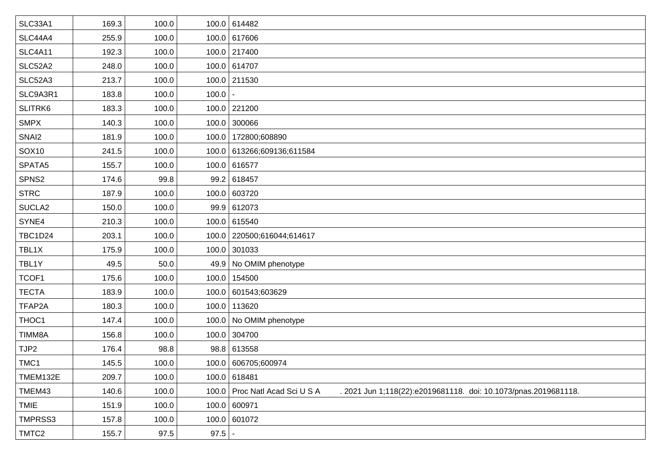| 169.3 | 100.0 |       | 100.0 614482                                                                                      |
|-------|-------|-------|---------------------------------------------------------------------------------------------------|
| 255.9 | 100.0 |       | 100.0 617606                                                                                      |
| 192.3 | 100.0 |       | 100.0 217400                                                                                      |
| 248.0 | 100.0 |       | 100.0 614707                                                                                      |
| 213.7 | 100.0 |       | 100.0 211530                                                                                      |
| 183.8 | 100.0 | 100.0 |                                                                                                   |
| 183.3 | 100.0 |       | 100.0 221200                                                                                      |
| 140.3 | 100.0 |       | 100.0 300066                                                                                      |
| 181.9 | 100.0 |       | 100.0   172800;608890                                                                             |
| 241.5 | 100.0 |       | 100.0 613266;609136;611584                                                                        |
| 155.7 | 100.0 |       | 100.0 616577                                                                                      |
| 174.6 | 99.8  |       | 99.2 618457                                                                                       |
| 187.9 | 100.0 |       | 100.0 603720                                                                                      |
| 150.0 | 100.0 |       | 99.9 612073                                                                                       |
| 210.3 | 100.0 |       | 100.0 615540                                                                                      |
| 203.1 | 100.0 |       | 100.0 220500;616044;614617                                                                        |
| 175.9 | 100.0 |       | 100.0 301033                                                                                      |
| 49.5  | 50.0  |       | 49.9 No OMIM phenotype                                                                            |
| 175.6 | 100.0 |       | 100.0 154500                                                                                      |
| 183.9 | 100.0 |       | 100.0 601543;603629                                                                               |
| 180.3 | 100.0 |       | 100.0 113620                                                                                      |
| 147.4 | 100.0 |       | 100.0 No OMIM phenotype                                                                           |
| 156.8 | 100.0 |       | 100.0 304700                                                                                      |
| 176.4 | 98.8  |       | 98.8 613558                                                                                       |
| 145.5 | 100.0 |       | 100.0 606705;600974                                                                               |
| 209.7 | 100.0 |       | 100.0 618481                                                                                      |
| 140.6 | 100.0 |       | 100.0 Proc Natl Acad Sci U S A<br>. 2021 Jun 1;118(22):e2019681118. doi: 10.1073/pnas.2019681118. |
| 151.9 | 100.0 |       | 100.0 600971                                                                                      |
| 157.8 | 100.0 |       | 100.0 601072                                                                                      |
| 155.7 | 97.5  | 97.5  |                                                                                                   |
|       |       |       |                                                                                                   |